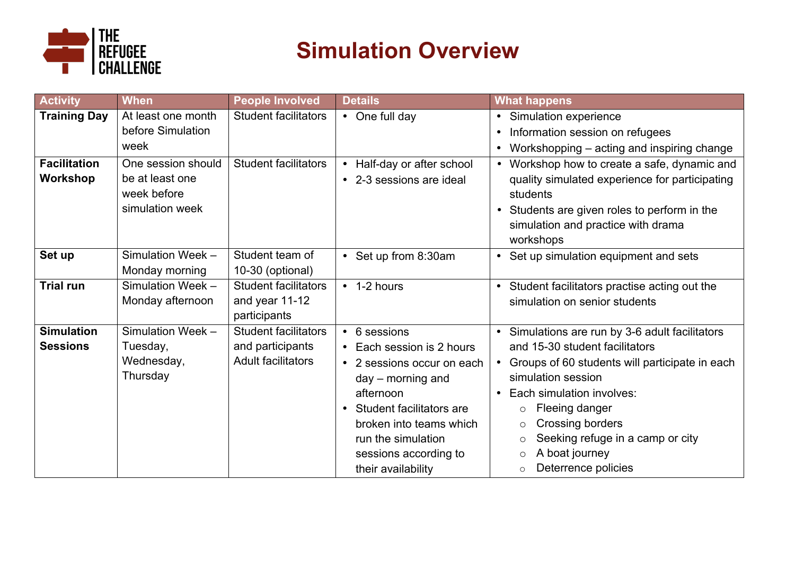

# **Simulation Overview**

| <b>Activity</b>     | <b>When</b>        | <b>People Involved</b>      | <b>Details</b>                        | <b>What happens</b>                                     |
|---------------------|--------------------|-----------------------------|---------------------------------------|---------------------------------------------------------|
| <b>Training Day</b> | At least one month | <b>Student facilitators</b> | • One full day                        | • Simulation experience                                 |
|                     | before Simulation  |                             |                                       | Information session on refugees<br>$\bullet$            |
|                     | week               |                             |                                       | Workshopping – acting and inspiring change<br>$\bullet$ |
| <b>Facilitation</b> | One session should | <b>Student facilitators</b> | Half-day or after school<br>$\bullet$ | • Workshop how to create a safe, dynamic and            |
| Workshop            | be at least one    |                             | • 2-3 sessions are ideal              | quality simulated experience for participating          |
|                     | week before        |                             |                                       | students                                                |
|                     | simulation week    |                             |                                       | Students are given roles to perform in the<br>$\bullet$ |
|                     |                    |                             |                                       | simulation and practice with drama                      |
|                     |                    |                             |                                       | workshops                                               |
| Set up              | Simulation Week -  | Student team of             | • Set up from 8:30am                  | • Set up simulation equipment and sets                  |
|                     | Monday morning     | 10-30 (optional)            |                                       |                                                         |
| <b>Trial run</b>    | Simulation Week -  | <b>Student facilitators</b> | $\cdot$ 1-2 hours                     | • Student facilitators practise acting out the          |
|                     | Monday afternoon   | and year 11-12              |                                       | simulation on senior students                           |
|                     |                    | participants                |                                       |                                                         |
| <b>Simulation</b>   | Simulation Week -  | <b>Student facilitators</b> | • 6 sessions                          | • Simulations are run by 3-6 adult facilitators         |
| <b>Sessions</b>     | Tuesday,           | and participants            | • Each session is 2 hours             | and 15-30 student facilitators                          |
|                     | Wednesday,         | <b>Adult facilitators</b>   | • 2 sessions occur on each            | • Groups of 60 students will participate in each        |
|                     | Thursday           |                             | $day - morning$ and                   | simulation session                                      |
|                     |                    |                             | afternoon                             | Each simulation involves:                               |
|                     |                    |                             | Student facilitators are              | Fleeing danger<br>$\circ$                               |
|                     |                    |                             | broken into teams which               | Crossing borders<br>$\circ$                             |
|                     |                    |                             | run the simulation                    | Seeking refuge in a camp or city<br>$\circ$             |
|                     |                    |                             | sessions according to                 | A boat journey<br>$\circ$                               |
|                     |                    |                             | their availability                    | Deterrence policies<br>$\circ$                          |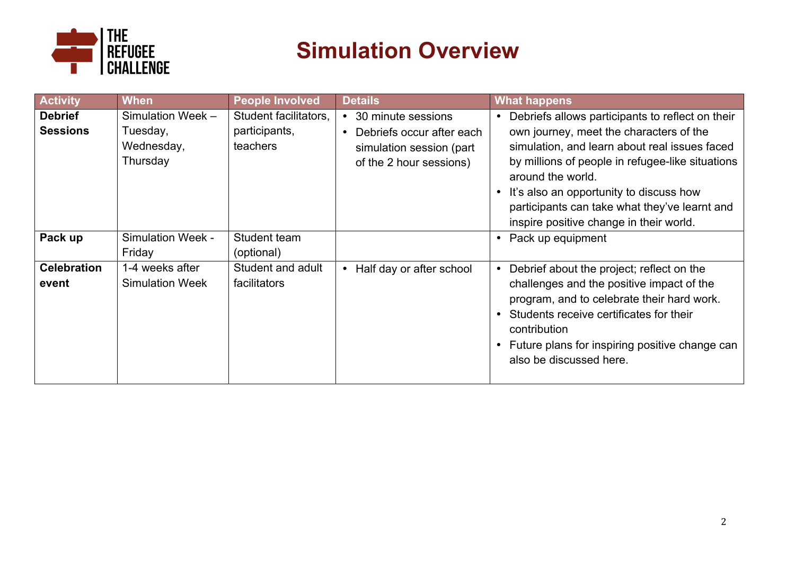

## **Simulation Overview**

| <b>Activity</b>                   | <b>When</b>                                             | <b>People Involved</b>                             | <b>Details</b>                                                                                           | <b>What happens</b>                                                                                                                                                                                                                                                                                                                                          |
|-----------------------------------|---------------------------------------------------------|----------------------------------------------------|----------------------------------------------------------------------------------------------------------|--------------------------------------------------------------------------------------------------------------------------------------------------------------------------------------------------------------------------------------------------------------------------------------------------------------------------------------------------------------|
| <b>Debrief</b><br><b>Sessions</b> | Simulation Week -<br>Tuesday,<br>Wednesday,<br>Thursday | Student facilitators.<br>participants,<br>teachers | • 30 minute sessions<br>Debriefs occur after each<br>simulation session (part<br>of the 2 hour sessions) | Debriefs allows participants to reflect on their<br>own journey, meet the characters of the<br>simulation, and learn about real issues faced<br>by millions of people in refugee-like situations<br>around the world.<br>It's also an opportunity to discuss how<br>participants can take what they've learnt and<br>inspire positive change in their world. |
| Pack up                           | <b>Simulation Week -</b><br>Friday                      | Student team<br>(optional)                         |                                                                                                          | Pack up equipment                                                                                                                                                                                                                                                                                                                                            |
| <b>Celebration</b><br>event       | 1-4 weeks after<br><b>Simulation Week</b>               | Student and adult<br><b>facilitators</b>           | • Half day or after school                                                                               | Debrief about the project; reflect on the<br>challenges and the positive impact of the<br>program, and to celebrate their hard work.<br>Students receive certificates for their<br>contribution<br>Future plans for inspiring positive change can<br>also be discussed here.                                                                                 |